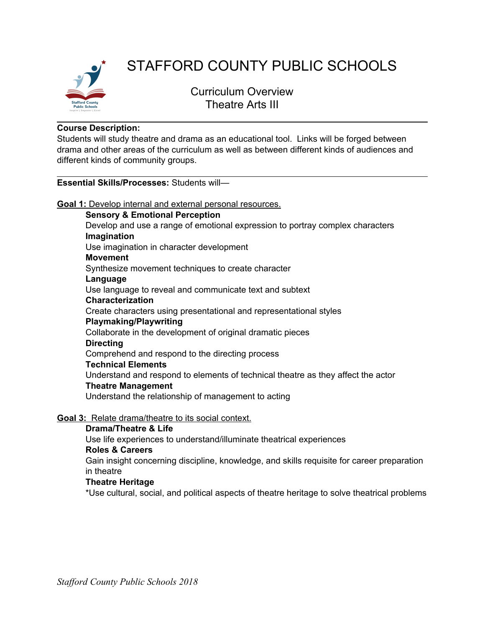

# STAFFORD COUNTY PUBLIC SCHOOLS

Curriculum Overview Theatre Arts III

## **Course Description:**

Students will study theatre and drama as an educational tool. Links will be forged between drama and other areas of the curriculum as well as between different kinds of audiences and different kinds of community groups.

## **Essential Skills/Processes:** Students will—

**Goal 1:** Develop internal and external personal resources.

#### **Sensory & Emotional Perception**

Develop and use a range of emotional expression to portray complex characters **Imagination**

Use imagination in character development

#### **Movement**

Synthesize movement techniques to create character

**Language**

Use language to reveal and communicate text and subtext

# **Characterization**

Create characters using presentational and representational styles

## **Playmaking/Playwriting**

Collaborate in the development of original dramatic pieces

#### **Directing**

Comprehend and respond to the directing process

## **Technical Elements**

Understand and respond to elements of technical theatre as they affect the actor

## **Theatre Management**

Understand the relationship of management to acting

## **Goal 3:** Relate drama/theatre to its social context.

## **Drama/Theatre & Life**

Use life experiences to understand/illuminate theatrical experiences **Roles & Careers**

Gain insight concerning discipline, knowledge, and skills requisite for career preparation in theatre

## **Theatre Heritage**

\*Use cultural, social, and political aspects of theatre heritage to solve theatrical problems